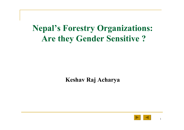## **Nepal's Forestry Organizations: Are they Gender Sensitive ?**

#### **Keshav Raj Acharya**

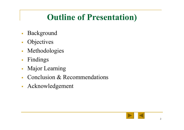# **Outline of Presentation)**

- $\overline{\phantom{a}}$ Background
- $\mathcal{L}$ **Objectives**
- $\mathcal{C}$ Methodologies
- $\mathbb{R}^2$ Findings
- $\overline{\phantom{a}}$ Major Learning
- Conclusion & Recommendations
- $\mathbb{R}^2$ Acknowledgement

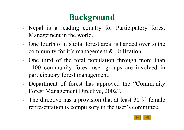# **Background**

- Nepal is a leading country for Participatory forest Management in the world.
- One fourth of it's total forest area is handed over to the community for it's management & Utilization.
- One third of the total population through more than 1400 community forest user groups are involved in participatory forest management.
- Department of forest has approved the "Community Forest Management Directive, 2002".
- П The directive has a provision that at least 30 % female representation is compulsory in the user's committee.

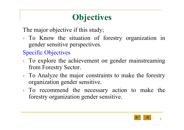# **Objectives**

The major objective if this study;

П To Know the situation of forestry organization in gender sensitive perspectives.

Specific Objectives

- П To explore the achievement on gender mainstreaming from Forestry Sector.
- To Analyze the major constraints to make the forestry organization gender sensitive.
- To recommend the necessary action to make the forestry organization gender sensitive.

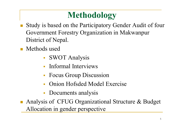# **Methodology**

- Study is based on the Participatory Gender Audit of four Government Forestry Organization in Makwanpur District of Nepal.
- **Nethods used** 
	- SWOT Analysis
	- $\overline{\mathbb{R}^n}$ Informal Interviews
	- **Focus Group Discussion**
	- n. Onion Hofsded Model Exercise
	- **Documents analysis**

■ Analysis of CFUG Organizational Structure & Budget Allocation in gender perspective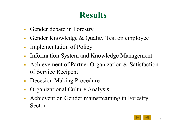### **Results**

- $\overline{\mathbb{R}}$ Gender debate in Forestry
- Gender Knowledge & Quality Test on employee
- П Implementation of Policy
- П Information System and Knowledge Management
- **Achievement of Partner Organization & Satisfaction** of Service Recipent
- $\mathcal{L}^{\mathcal{L}}$ Decesion Making Procedure
- Organizational Culture Analysis
- П Achievent on Gender mainstreaming in Forestry Sector

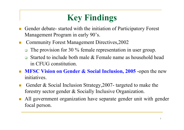# **Key Findings**

- Gender debate- started with the initiation of Participatory Forest Management Program in early 90's.
- Community Forest Management Directives,2002
	- $\Box$  The provision for 30 % female representation in user group.
	- $\Box$  Started to include both male & Female name as household head in CFUG constitution.
- **MFSC Vision on Gender & Social Inclusion, 2005** -open the new initiatives.
- Gender & Social Inclusion Strategy,2007- targeted to make the forestry sector gender & Socially Inclusive Organization.
- All government organization have separate gender unit with gender focal person.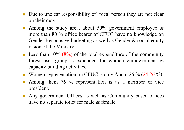- Due to unclear responsibility of focal person they are not clear on their duty.
- Among the study area, about  $50\%$  government employee & more than 80 % office bearer of CFUG have no knowledge on Gender Responsive budgeting as well as Gender & social equity vision of the Ministry.
- **Less than 10% (8%) of the total expenditure of the community** forest user group is expended for women empowerment & capacity building activities.
- Women representation on CFUC is only About 25  $\%$  (24.26  $\%$ ).
- Among them 76 % representation is as a member or vice president.
- Any government Offices as well as Community based offices have no separate toilet for male & female.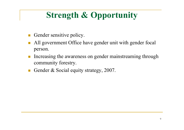# **Strength & Opportunity**

- Gender sensitive policy.
- All government Office have gender unit with gender focal person.
- Increasing the awareness on gender mainstreaming through community forestry.
- Gender & Social equity strategy, 2007.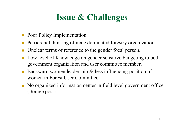# **Issue & Challenges**

- Poor Policy Implementation.
- Patriarchal thinking of male dominated forestry organization.
- Unclear terms of reference to the gender focal person.
- Low level of Knowledge on gender sensitive budgeting to both government organization and user committee member.
- Backward women leadership & less influencing position of women in Forest User Committee.
- $\mathbb{R}^3$  No organized information center in field level government office ( Range post).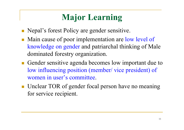# **Major Learning**

- **Nepal's forest Policy are gender sensitive.**
- Main cause of poor implementation are low level of knowledge on gender and patriarchal thinking of Male dominated forestry organization.
- Gender sensitive agenda becomes low important due to low influencing position (member/ vice president) of women in user's committee.
- **Unclear TOR of gender focal person have no meaning** for service recipient.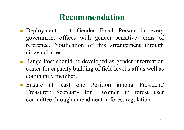### **Recommendation**

- **Deployment** of Gender Focal Person in every government offices with gender sensitive terms of reference. Notification of this arrangement through citizen charter.
- **Range Post should be developed as gender information** center for capacity building of field level staff as well as community member.
- Ensure at least one Position among President/ Treasurer/ Secretary for women in forest user committee through amendment in forest regulation.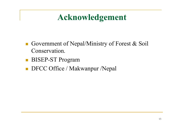## **Acknowledgement**

- Government of Nepal/Ministry of Forest  $\&$  Soil Conservation.
- $\mathcal{L}_{\mathcal{A}}$ BISEP-ST Program
- $\mathbb{R}^n$ ■ DFCC Office / Makwanpur /Nepal